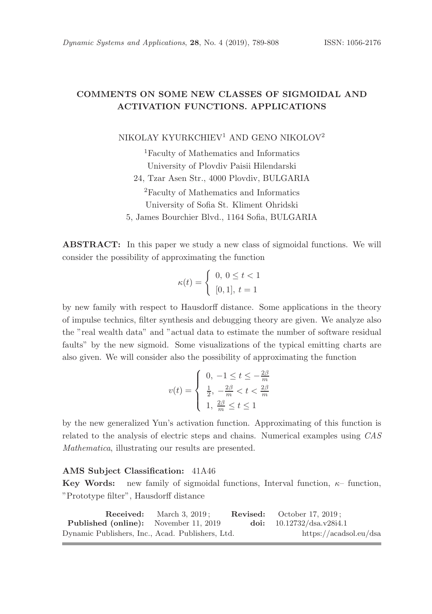# COMMENTS ON SOME NEW CLASSES OF SIGMOIDAL AND ACTIVATION FUNCTIONS. APPLICATIONS

NIKOLAY KYURKCHIEV<sup>1</sup> AND GENO NIKOLOV<sup>2</sup>

<sup>1</sup>Faculty of Mathematics and Informatics University of Plovdiv Paisii Hilendarski 24, Tzar Asen Str., 4000 Plovdiv, BULGARIA <sup>2</sup>Faculty of Mathematics and Informatics University of Sofia St. Kliment Ohridski 5, James Bourchier Blvd., 1164 Sofia, BULGARIA

ABSTRACT: In this paper we study a new class of sigmoidal functions. We will consider the possibility of approximating the function

$$
\kappa(t) = \begin{cases} 0, \ 0 \leq t < 1 \\ [0,1], \ t = 1 \end{cases}
$$

by new family with respect to Hausdorff distance. Some applications in the theory of impulse technics, filter synthesis and debugging theory are given. We analyze also the "real wealth data" and "actual data to estimate the number of software residual faults" by the new sigmoid. Some visualizations of the typical emitting charts are also given. We will consider also the possibility of approximating the function

$$
v(t) = \begin{cases} 0, & -1 \le t \le -\frac{2\beta}{m} \\ \frac{1}{2}, & -\frac{2\beta}{m} < t < \frac{2\beta}{m} \\ 1, & \frac{2\beta}{m} \le t \le 1 \end{cases}
$$

by the new generalized Yun's activation function. Approximating of this function is related to the analysis of electric steps and chains. Numerical examples using CAS Mathematica, illustrating our results are presented.

## AMS Subject Classification: 41A46

**Key Words:** new family of sigmoidal functions, Interval function,  $\kappa$ -function, "Prototype filter", Hausdorff distance

| <b>Received:</b> March $3, 2019$ :               | <b>Revised:</b> October 17, 2019: |                        |
|--------------------------------------------------|-----------------------------------|------------------------|
| <b>Published (online):</b> November 11, 2019     | doi: $10.12732/dsa.v28i4.1$       |                        |
| Dynamic Publishers, Inc., Acad. Publishers, Ltd. |                                   | https://acadsol.eu/dsa |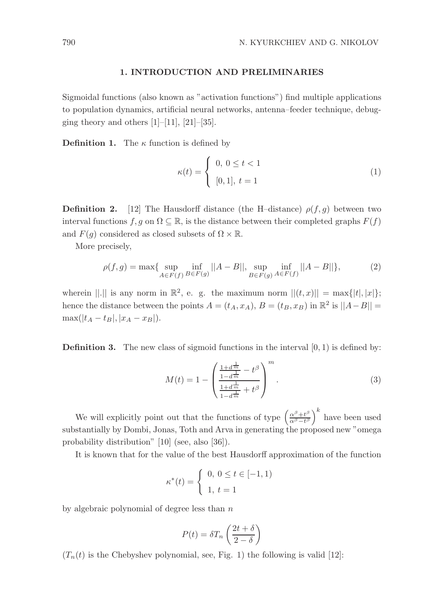## 1. INTRODUCTION AND PRELIMINARIES

Sigmoidal functions (also known as "activation functions") find multiple applications to population dynamics, artificial neural networks, antenna–feeder technique, debugging theory and others  $[1]$ – $[11]$ ,  $[21]$ – $[35]$ .

**Definition 1.** The  $\kappa$  function is defined by

$$
\kappa(t) = \begin{cases} 0, \ 0 \le t < 1 \\ [0, 1], \ t = 1 \end{cases} \tag{1}
$$

**Definition 2.** [12] The Hausdorff distance (the H-distance)  $\rho(f, g)$  between two interval functions f, g on  $\Omega \subseteq \mathbb{R}$ , is the distance between their completed graphs  $F(f)$ and  $F(g)$  considered as closed subsets of  $\Omega \times \mathbb{R}$ .

More precisely,

$$
\rho(f,g) = \max\{\sup_{A \in F(f)} \inf_{B \in F(g)} ||A - B||, \sup_{B \in F(g)} \inf_{A \in F(f)} ||A - B||\},\tag{2}
$$

wherein  $||.||$  is any norm in  $\mathbb{R}^2$ , e. g. the maximum norm  $||(t, x)|| = \max\{|t|, |x|\};$ hence the distance between the points  $A = (t_A, x_A), B = (t_B, x_B)$  in  $\mathbb{R}^2$  is  $||A - B|| =$  $max(|t_A - t_B|, |x_A - x_B|).$ 

**Definition 3.** The new class of sigmoid functions in the interval  $[0, 1)$  is defined by:

$$
M(t) = 1 - \left(\frac{\frac{1+d^{\frac{1}{m}}}{1-d^{\frac{1}{m}}}-t^{\beta}}{\frac{1+d^{\frac{1}{m}}}{1-d^{\frac{1}{m}}}+t^{\beta}}\right)^{m}.
$$
 (3)

We will explicitly point out that the functions of type  $\left(\frac{\alpha^{\beta}+t^{\beta}}{\alpha^{\beta}-t^{\beta}}\right)$  $\left(\frac{\alpha^{\beta}+t^{\beta}}{\alpha^{\beta}-t^{\beta}}\right)^k$  have been used substantially by Dombi, Jonas, Toth and Arva in generating the proposed new "omega probability distribution" [10] (see, also [36]).

It is known that for the value of the best Hausdorff approximation of the function

$$
\kappa^*(t) = \begin{cases} 0, \ 0 \le t \in [-1, 1) \\ 1, \ t = 1 \end{cases}
$$

by algebraic polynomial of degree less than  $n$ 

$$
P(t) = \delta T_n \left(\frac{2t + \delta}{2 - \delta}\right)
$$

 $(T_n(t)$  is the Chebyshev polynomial, see, Fig. 1) the following is valid [12]: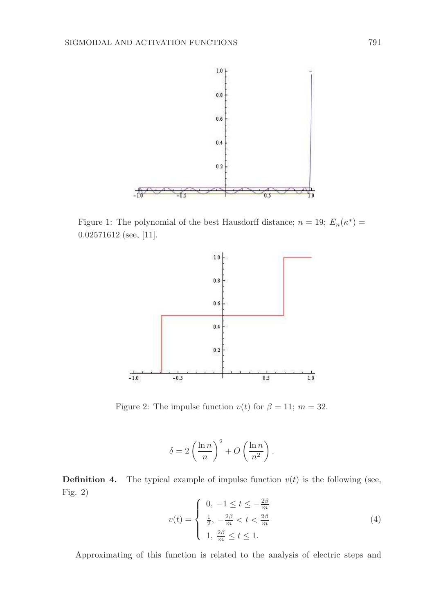

Figure 1: The polynomial of the best Hausdorff distance;  $n = 19$ ;  $E_n(\kappa^*) =$ 0.02571612 (see, [11].



Figure 2: The impulse function  $v(t)$  for  $\beta = 11$ ;  $m = 32$ .

$$
\delta = 2\left(\frac{\ln n}{n}\right)^2 + O\left(\frac{\ln n}{n^2}\right).
$$

**Definition 4.** The typical example of impulse function  $v(t)$  is the following (see, Fig. 2)

$$
v(t) = \begin{cases} 0, & -1 \le t \le -\frac{2\beta}{m} \\ \frac{1}{2}, & -\frac{2\beta}{m} < t < \frac{2\beta}{m} \\ 1, & \frac{2\beta}{m} \le t \le 1. \end{cases}
$$
(4)

Approximating of this function is related to the analysis of electric steps and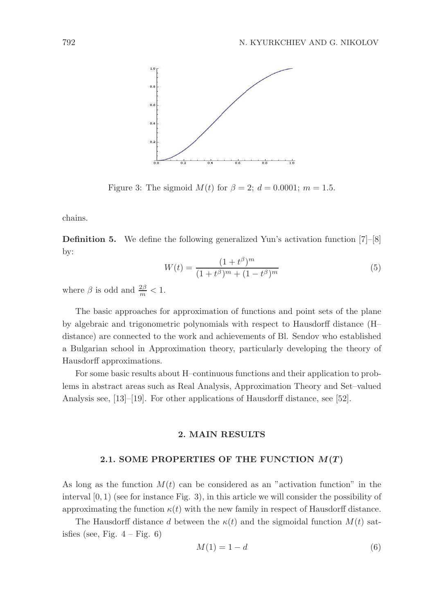

Figure 3: The sigmoid  $M(t)$  for  $\beta = 2$ ;  $d = 0.0001$ ;  $m = 1.5$ .

chains.

Definition 5. We define the following generalized Yun's activation function [7]–[8] by:

$$
W(t) = \frac{(1+t^{\beta})^m}{(1+t^{\beta})^m + (1-t^{\beta})^m}
$$
\n(5)

where  $\beta$  is odd and  $\frac{2\beta}{m} < 1$ .

The basic approaches for approximation of functions and point sets of the plane by algebraic and trigonometric polynomials with respect to Hausdorff distance (H– distance) are connected to the work and achievements of Bl. Sendov who established a Bulgarian school in Approximation theory, particularly developing the theory of Hausdorff approximations.

For some basic results about H–continuous functions and their application to problems in abstract areas such as Real Analysis, Approximation Theory and Set–valued Analysis see, [13]–[19]. For other applications of Hausdorff distance, see [52].

## 2. MAIN RESULTS

## 2.1. SOME PROPERTIES OF THE FUNCTION  $M(T)$

As long as the function  $M(t)$  can be considered as an "activation function" in the interval  $[0, 1)$  (see for instance Fig. 3), in this article we will consider the possibility of approximating the function  $\kappa(t)$  with the new family in respect of Hausdorff distance.

The Hausdorff distance d between the  $\kappa(t)$  and the sigmoidal function  $M(t)$  satisfies (see, Fig.  $4 - Fig. 6$ )

$$
M(1) = 1 - d \tag{6}
$$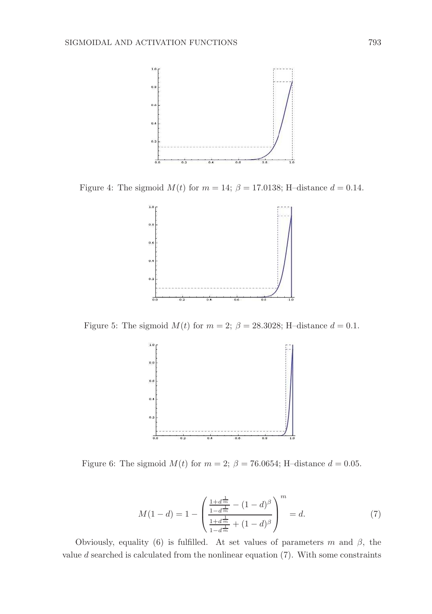

Figure 4: The sigmoid  $M(t)$  for  $m = 14$ ;  $\beta = 17.0138$ ; H-distance  $d = 0.14$ .



Figure 5: The sigmoid  $M(t)$  for  $m = 2$ ;  $\beta = 28.3028$ ; H-distance  $d = 0.1$ .



Figure 6: The sigmoid  $M(t)$  for  $m = 2$ ;  $\beta = 76.0654$ ; H-distance  $d = 0.05$ .

$$
M(1-d) = 1 - \left(\frac{\frac{1+d^{\frac{1}{m}}}{1-d^{\frac{1}{m}}}}{\frac{1+d^{\frac{1}{m}}}{1-d^{\frac{1}{m}}} + (1-d)^{\beta}}\right)^m = d.
$$
 (7)

Obviously, equality (6) is fulfilled. At set values of parameters m and  $\beta$ , the value  $d$  searched is calculated from the nonlinear equation  $(7)$ . With some constraints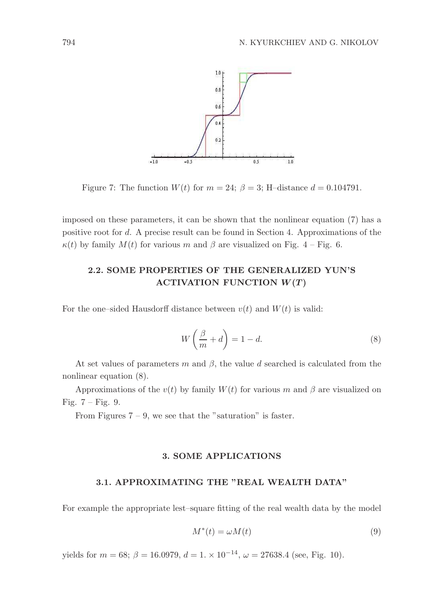

Figure 7: The function  $W(t)$  for  $m = 24$ ;  $\beta = 3$ ; H-distance  $d = 0.104791$ .

imposed on these parameters, it can be shown that the nonlinear equation (7) has a positive root for d. A precise result can be found in Section 4. Approximations of the  $\kappa(t)$  by family  $M(t)$  for various m and  $\beta$  are visualized on Fig. 4 – Fig. 6.

# 2.2. SOME PROPERTIES OF THE GENERALIZED YUN'S ACTIVATION FUNCTION  $W(T)$

For the one–sided Hausdorff distance between  $v(t)$  and  $W(t)$  is valid:

$$
W\left(\frac{\beta}{m} + d\right) = 1 - d.\tag{8}
$$

At set values of parameters m and  $\beta$ , the value d searched is calculated from the nonlinear equation (8).

Approximations of the  $v(t)$  by family  $W(t)$  for various m and  $\beta$  are visualized on Fig.  $7 -$  Fig. 9.

From Figures  $7 - 9$ , we see that the "saturation" is faster.

## 3. SOME APPLICATIONS

#### 3.1. APPROXIMATING THE "REAL WEALTH DATA"

For example the appropriate lest–square fitting of the real wealth data by the model

$$
M^*(t) = \omega M(t) \tag{9}
$$

yields for  $m = 68$ ;  $\beta = 16.0979$ ,  $d = 1 \times 10^{-14}$ ,  $\omega = 27638.4$  (see, Fig. 10).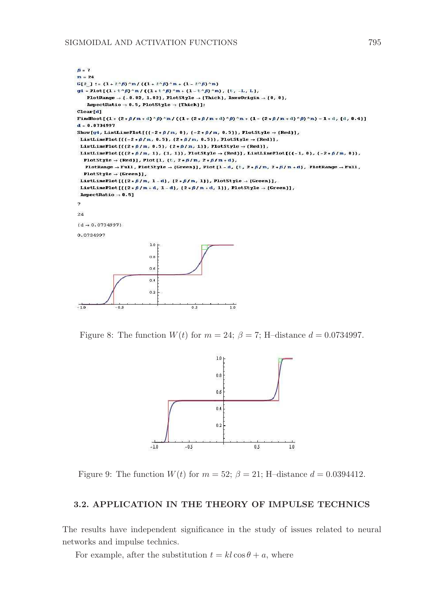#### SIGMOIDAL AND ACTIVATION FUNCTIONS 795



Figure 8: The function  $W(t)$  for  $m = 24$ ;  $\beta = 7$ ; H-distance  $d = 0.0734997$ .



Figure 9: The function  $W(t)$  for  $m = 52$ ;  $\beta = 21$ ; H-distance  $d = 0.0394412$ .

# 3.2. APPLICATION IN THE THEORY OF IMPULSE TECHNICS

The results have independent significance in the study of issues related to neural networks and impulse technics.

For example, after the substitution  $t = kl \cos \theta + a$ , where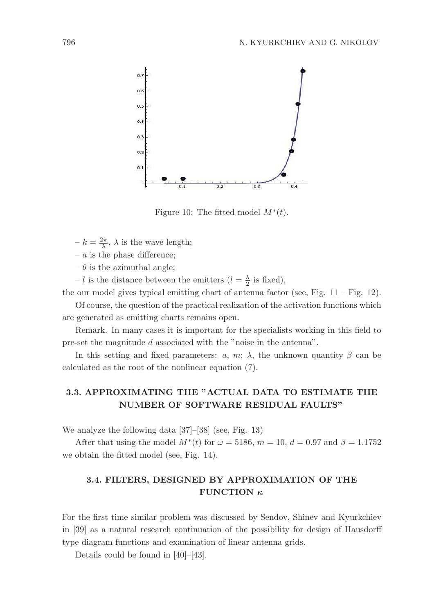

Figure 10: The fitted model  $M^*(t)$ .

- $-k = \frac{2\pi}{\lambda}, \lambda$  is the wave length;
- $a$  is the phase difference:
- $-\theta$  is the azimuthal angle;
- l is the distance between the emitters  $(l = \frac{\lambda}{2}$  is fixed),

the our model gives typical emitting chart of antenna factor (see, Fig.  $11 - Fig. 12$ ).

Of course, the question of the practical realization of the activation functions which are generated as emitting charts remains open.

Remark. In many cases it is important for the specialists working in this field to pre-set the magnitude d associated with the "noise in the antenna".

In this setting and fixed parameters: a, m;  $\lambda$ , the unknown quantity  $\beta$  can be calculated as the root of the nonlinear equation (7).

# 3.3. APPROXIMATING THE "ACTUAL DATA TO ESTIMATE THE NUMBER OF SOFTWARE RESIDUAL FAULTS"

We analyze the following data [37]–[38] (see, Fig. 13)

After that using the model  $M^*(t)$  for  $\omega = 5186$ ,  $m = 10$ ,  $d = 0.97$  and  $\beta = 1.1752$ we obtain the fitted model (see, Fig. 14).

# 3.4. FILTERS, DESIGNED BY APPROXIMATION OF THE FUNCTION  $\kappa$

For the first time similar problem was discussed by Sendov, Shinev and Kyurkchiev in [39] as a natural research continuation of the possibility for design of Hausdorff type diagram functions and examination of linear antenna grids.

Details could be found in [40]–[43].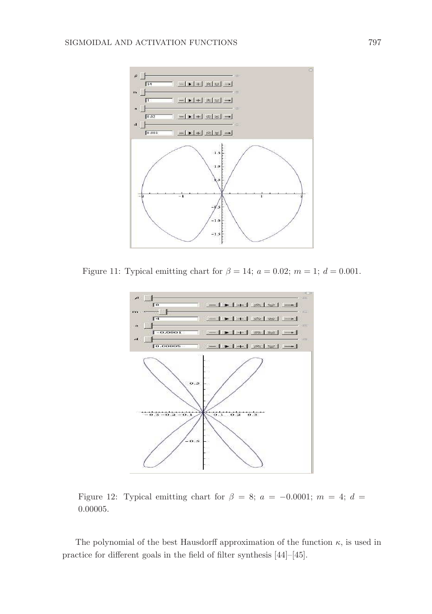

Figure 11: Typical emitting chart for  $\beta = 14$ ;  $a = 0.02$ ;  $m = 1$ ;  $d = 0.001$ .



Figure 12: Typical emitting chart for  $\beta = 8$ ;  $a = -0.0001$ ;  $m = 4$ ;  $d =$ 0.00005.

The polynomial of the best Hausdorff approximation of the function  $\kappa$ , is used in practice for different goals in the field of filter synthesis [44]–[45].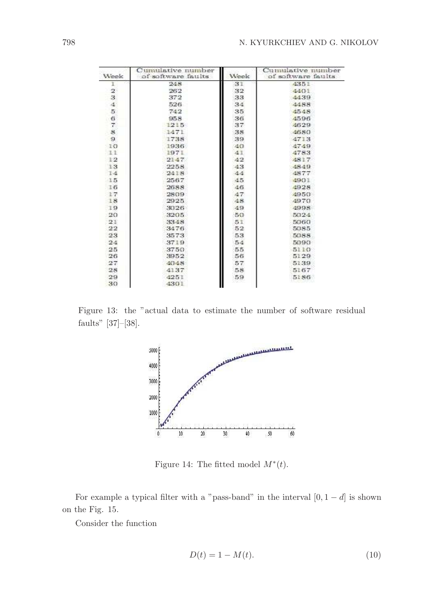| Week          | Cumulative number<br>of software faults. | Week | Cumulative number<br>of software faults |
|---------------|------------------------------------------|------|-----------------------------------------|
| ı             | 248                                      | 31   | 4351                                    |
|               | 262                                      | 32   | 4401                                    |
| $\frac{2}{3}$ | 372                                      | 33   | 44.39                                   |
| 4             | 526                                      | 34   | 4488                                    |
| 5             | 742                                      | 35   | 4548                                    |
| 6             | 958                                      | 36   | 4596                                    |
| 7.            | 1215                                     | 37   | 4629                                    |
| 8             | 1471                                     | 38   | 4680                                    |
| $\mathbf{9}$  | 1738                                     | 39   | 4713                                    |
| $-1O$         | 1936                                     | 40.  | 4749                                    |
| 11            | 1971                                     | 41   | 4783                                    |
| 12            | 2147                                     | 42   | 4817                                    |
| 13            | 2258                                     | 43   | 4849                                    |
| 14            | 2418                                     | 44   | 4877                                    |
| 15            | 2567                                     | 45   | 4901                                    |
| 16            | 2688                                     | 46.  | 4928                                    |
| $+7$          | 2809                                     | 47   | 4950                                    |
| 18            | 2925                                     | 48.  | 49.70                                   |
| 19            | 3326                                     | 49   | 4998                                    |
| 20            | 3205                                     | 50   | 5024                                    |
| 21            | 3348                                     | 51   | 5060                                    |
| 22            | 3476                                     | 52   | 5085                                    |
| 23            | 3573                                     | 53   | 5088                                    |
| 24            | 3719                                     | 54   | 5090                                    |
| 25            | 3750                                     | 55   | 5110                                    |
| 26            | 3952                                     | 56   | 5129                                    |
| 27            | 4048                                     | 57   | 5139                                    |
| 28            | 41.37                                    | 58   | 5167                                    |
| 29            | 4251                                     | 59   | 5186                                    |
| 30            | 4301                                     |      |                                         |

Figure 13: the "actual data to estimate the number of software residual faults" [37]–[38].



Figure 14: The fitted model  $M^*(t)$ .

For example a typical filter with a "pass-band" in the interval  $[0, 1 - d]$  is shown on the Fig. 15.

Consider the function

$$
D(t) = 1 - M(t). \tag{10}
$$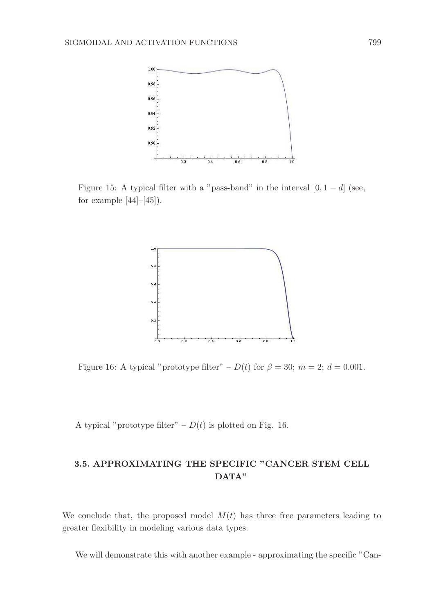

Figure 15: A typical filter with a "pass-band" in the interval  $[0, 1 - d]$  (see, for example  $[44]$ – $[45]$ ).



Figure 16: A typical "prototype filter" –  $D(t)$  for  $\beta = 30$ ;  $m = 2$ ;  $d = 0.001$ .

A typical "prototype filter" –  $D(t)$  is plotted on Fig. 16.

# 3.5. APPROXIMATING THE SPECIFIC "CANCER STEM CELL DATA"

We conclude that, the proposed model  $M(t)$  has three free parameters leading to greater flexibility in modeling various data types.

We will demonstrate this with another example - approximating the specific "Can-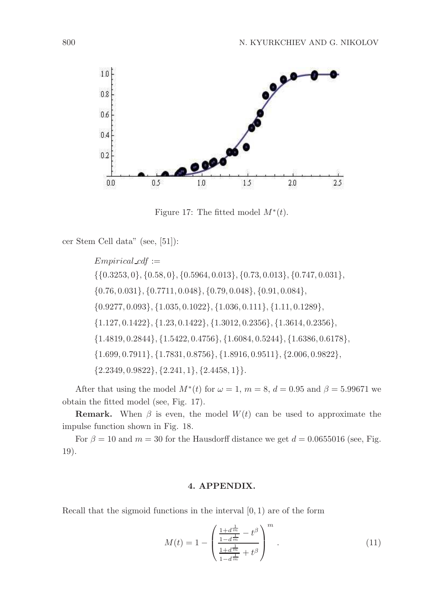

Figure 17: The fitted model  $M^*(t)$ .

cer Stem Cell data" (see, [51]):

 $Empirical_cdf :=$ {{0.3253, 0}, {0.58, 0}, {0.5964, 0.013}, {0.73, 0.013}, {0.747, 0.031}, {0.76, 0.031}, {0.7711, 0.048}, {0.79, 0.048}, {0.91, 0.084}, {0.9277, 0.093}, {1.035, 0.1022}, {1.036, 0.111}, {1.11, 0.1289}, {1.127, 0.1422}, {1.23, 0.1422}, {1.3012, 0.2356}, {1.3614, 0.2356}, {1.4819, 0.2844}, {1.5422, 0.4756}, {1.6084, 0.5244}, {1.6386, 0.6178}, {1.699, 0.7911}, {1.7831, 0.8756}, {1.8916, 0.9511}, {2.006, 0.9822},  ${2.2349, 0.9822}, {2.241, 1}, {2.4458, 1}.$ 

After that using the model  $M^*(t)$  for  $\omega = 1$ ,  $m = 8$ ,  $d = 0.95$  and  $\beta = 5.99671$  we obtain the fitted model (see, Fig. 17).

**Remark.** When  $\beta$  is even, the model  $W(t)$  can be used to approximate the impulse function shown in Fig. 18.

For  $\beta = 10$  and  $m = 30$  for the Hausdorff distance we get  $d = 0.0655016$  (see, Fig. 19).

# 4. APPENDIX.

Recall that the sigmoid functions in the interval  $[0, 1)$  are of the form

$$
M(t) = 1 - \left(\frac{\frac{1+d^{\frac{1}{m}}}{1-d^{\frac{1}{m}}}-t^{\beta}}{\frac{1+d^{\frac{1}{m}}}{1-d^{\frac{1}{m}}}+t^{\beta}}\right)^{m}.
$$
 (11)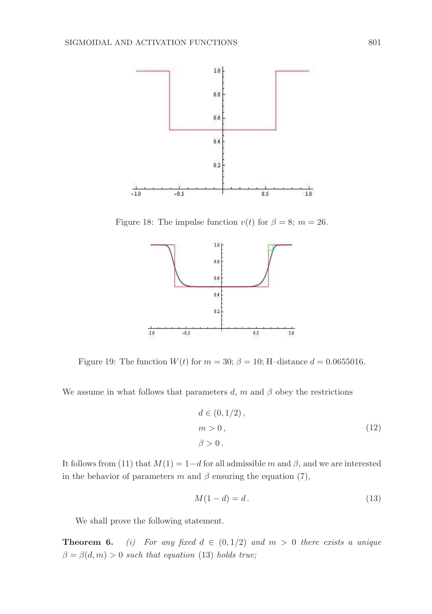

Figure 18: The impulse function  $v(t)$  for  $\beta = 8$ ;  $m = 26$ .



Figure 19: The function  $W(t)$  for  $m = 30$ ;  $\beta = 10$ ; H-distance  $d = 0.0655016$ .

We assume in what follows that parameters d, m and  $\beta$  obey the restrictions

$$
d \in (0, 1/2),
$$
  
\n
$$
m > 0,
$$
  
\n
$$
\beta > 0.
$$
\n(12)

It follows from (11) that  $M(1) = 1-d$  for all admissible m and  $\beta$ , and we are interested in the behavior of parameters m and  $\beta$  ensuring the equation (7),

$$
M(1-d) = d. \tag{13}
$$

We shall prove the following statement.

**Theorem 6.** (i) For any fixed  $d \in (0, 1/2)$  and  $m > 0$  there exists a unique  $\beta = \beta(d, m) > 0$  such that equation (13) holds true;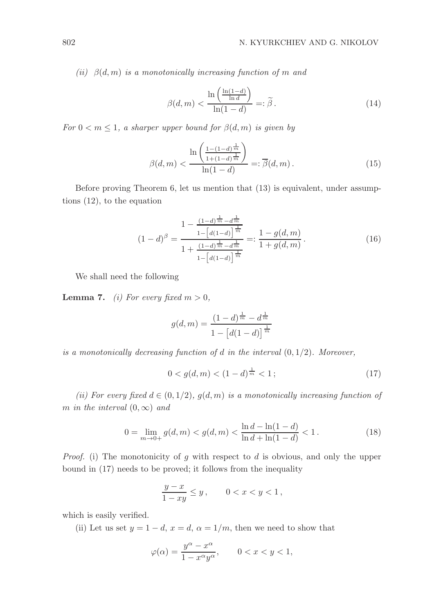(ii)  $\beta(d,m)$  is a monotonically increasing function of m and

$$
\beta(d,m) < \frac{\ln\left(\frac{\ln(1-d)}{\ln d}\right)}{\ln(1-d)} =: \widetilde{\beta} \,. \tag{14}
$$

For  $0 < m \leq 1$ , a sharper upper bound for  $\beta(d,m)$  is given by

$$
\beta(d,m) < \frac{\ln\left(\frac{1-(1-d)^{\frac{1}{m}}}{1+(1-d)^{\frac{1}{m}}}\right)}{\ln(1-d)} =: \overline{\beta}(d,m). \tag{15}
$$

Before proving Theorem 6, let us mention that (13) is equivalent, under assumptions (12), to the equation

$$
(1-d)^{\beta} = \frac{1 - \frac{(1-d)^{\frac{1}{m}} - d^{\frac{1}{m}}}{1 - [d(1-d)]^{\frac{1}{m}}}}{1 + \frac{(1-d)^{\frac{1}{m}} - d^{\frac{1}{m}}}{1 - [d(1-d)]^{\frac{1}{m}}}} =: \frac{1 - g(d, m)}{1 + g(d, m)}.
$$
(16)

We shall need the following

**Lemma 7.** (i) For every fixed  $m > 0$ ,

$$
g(d,m) = \frac{(1-d)^{\frac{1}{m}} - d^{\frac{1}{m}}}{1 - [d(1-d)]^{\frac{1}{m}}}
$$

is a monotonically decreasing function of d in the interval  $(0, 1/2)$ . Moreover,

$$
0 < g(d, m) < (1 - d)^{\frac{1}{m}} < 1 \tag{17}
$$

(ii) For every fixed  $d \in (0, 1/2)$ ,  $q(d, m)$  is a monotonically increasing function of m in the interval  $(0, \infty)$  and

$$
0 = \lim_{m \to 0+} g(d, m) < g(d, m) < \frac{\ln d - \ln(1 - d)}{\ln d + \ln(1 - d)} < 1. \tag{18}
$$

*Proof.* (i) The monotonicity of g with respect to d is obvious, and only the upper bound in (17) needs to be proved; it follows from the inequality

$$
\frac{y-x}{1-xy} \le y\,, \qquad 0 < x < y < 1\,,
$$

which is easily verified.

(ii) Let us set  $y = 1 - d$ ,  $x = d$ ,  $\alpha = 1/m$ , then we need to show that

$$
\varphi(\alpha) = \frac{y^{\alpha} - x^{\alpha}}{1 - x^{\alpha}y^{\alpha}}, \qquad 0 < x < y < 1,
$$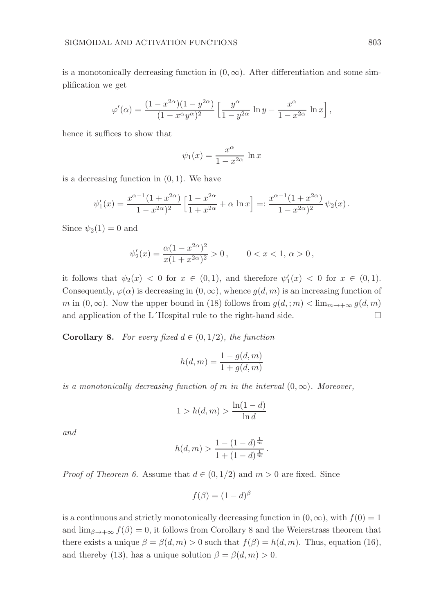is a monotonically decreasing function in  $(0, \infty)$ . After differentiation and some simplification we get

$$
\varphi'(\alpha) = \frac{(1-x^{2\alpha})(1-y^{2\alpha})}{(1-x^{\alpha}y^{\alpha})^2} \left[\frac{y^{\alpha}}{1-y^{2\alpha}} \ln y - \frac{x^{\alpha}}{1-x^{2\alpha}} \ln x\right],
$$

hence it suffices to show that

$$
\psi_1(x) = \frac{x^{\alpha}}{1 - x^{2\alpha}} \ln x
$$

is a decreasing function in  $(0, 1)$ . We have

$$
\psi_1'(x) = \frac{x^{\alpha - 1}(1 + x^{2\alpha})}{1 - x^{2\alpha})^2} \left[ \frac{1 - x^{2\alpha}}{1 + x^{2\alpha}} + \alpha \ln x \right] =: \frac{x^{\alpha - 1}(1 + x^{2\alpha})}{1 - x^{2\alpha})^2} \psi_2(x).
$$

Since  $\psi_2(1) = 0$  and

$$
\psi_2'(x)=\frac{\alpha(1-x^{2\alpha})^2}{x(1+x^{2\alpha})^2}>0\,,\qquad 00\,,
$$

it follows that  $\psi_2(x) < 0$  for  $x \in (0,1)$ , and therefore  $\psi'_1(x) < 0$  for  $x \in (0,1)$ . Consequently,  $\varphi(\alpha)$  is decreasing in  $(0, \infty)$ , whence  $g(d, m)$  is an increasing function of m in  $(0, \infty)$ . Now the upper bound in (18) follows from  $q(d, m) < \lim_{m \to +\infty} q(d, m)$ and application of the L´Hospital rule to the right-hand side.  $\Box$ 

**Corollary 8.** For every fixed  $d \in (0, 1/2)$ , the function

$$
h(d,m) = \frac{1 - g(d,m)}{1 + g(d,m)}
$$

is a monotonically decreasing function of m in the interval  $(0, \infty)$ . Moreover,

$$
1 > h(d, m) > \frac{\ln(1 - d)}{\ln d}
$$

and

$$
h(d,m) > \frac{1 - (1 - d)^{\frac{1}{m}}}{1 + (1 - d)^{\frac{1}{m}}}.
$$

*Proof of Theorem 6.* Assume that  $d \in (0, 1/2)$  and  $m > 0$  are fixed. Since

$$
f(\beta) = (1 - d)^{\beta}
$$

is a continuous and strictly monotonically decreasing function in  $(0, \infty)$ , with  $f(0) = 1$ and  $\lim_{\beta \to +\infty} f(\beta) = 0$ , it follows from Corollary 8 and the Weierstrass theorem that there exists a unique  $\beta = \beta(d, m) > 0$  such that  $f(\beta) = h(d, m)$ . Thus, equation (16), and thereby (13), has a unique solution  $\beta = \beta(d, m) > 0$ .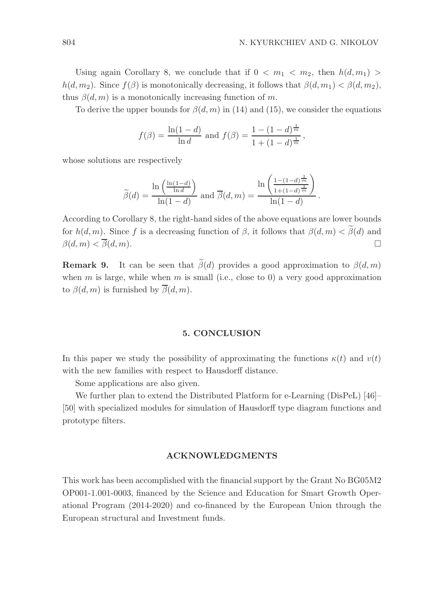Using again Corollary 8, we conclude that if  $0 < m_1 < m_2$ , then  $h(d, m_1) >$  $h(d, m_2)$ . Since  $f(\beta)$  is monotonically decreasing, it follows that  $\beta(d, m_1) < \beta(d, m_2)$ , thus  $\beta(d, m)$  is a monotonically increasing function of m.

To derive the upper bounds for  $\beta(d, m)$  in (14) and (15), we consider the equations

$$
f(\beta) = \frac{\ln(1-d)}{\ln d}
$$
 and  $f(\beta) = \frac{1 - (1-d)^{\frac{1}{m}}}{1 + (1-d)^{\frac{1}{m}}}$ ,

whose solutions are respectively

$$
\widetilde{\beta}(d) = \frac{\ln\left(\frac{\ln(1-d)}{\ln d}\right)}{\ln(1-d)} \text{ and } \overline{\beta}(d,m) = \frac{\ln\left(\frac{1-(1-d)^{\frac{1}{m}}}{1+(1-d)^{\frac{1}{m}}}\right)}{\ln(1-d)}.
$$

According to Corollary 8, the right-hand sides of the above equations are lower bounds for  $h(d, m)$ . Since f is a decreasing function of  $\beta$ , it follows that  $\beta(d, m) < \tilde{\beta}(d)$  and  $\beta(d, m) < \tilde{\beta}(d, m)$  $\beta(d, m) < \overline{\beta}(d, m).$ 

**Remark 9.** It can be seen that  $\tilde{\beta}(d)$  provides a good approximation to  $\beta(d, m)$ when m is large, while when m is small (i.e., close to 0) a very good approximation to  $\beta(d,m)$  is furnished by  $\overline{\beta}(d,m)$ .

## 5. CONCLUSION

In this paper we study the possibility of approximating the functions  $\kappa(t)$  and  $v(t)$ with the new families with respect to Hausdorff distance.

Some applications are also given.

We further plan to extend the Distributed Platform for e-Learning (DisPeL) [46]– [50] with specialized modules for simulation of Hausdorff type diagram functions and prototype filters.

## ACKNOWLEDGMENTS

This work has been accomplished with the financial support by the Grant No BG05M2 OP001-1.001-0003, financed by the Science and Education for Smart Growth Operational Program (2014-2020) and co-financed by the European Union through the European structural and Investment funds.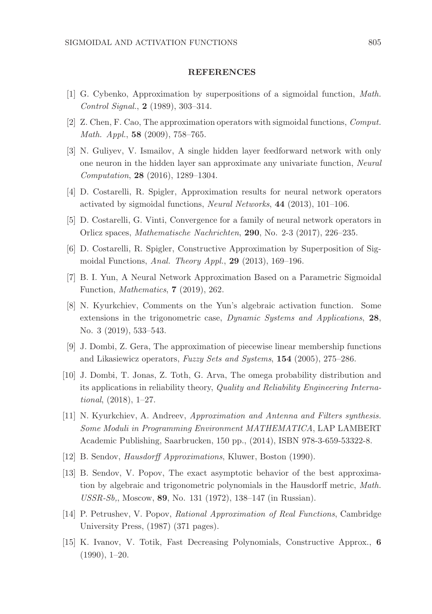# **REFERENCES**

- [1] G. Cybenko, Approximation by superpositions of a sigmoidal function, Math. Control Signal., 2 (1989), 303–314.
- [2] Z. Chen, F. Cao, The approximation operators with sigmoidal functions, Comput. Math. Appl., 58 (2009), 758–765.
- [3] N. Guliyev, V. Ismailov, A single hidden layer feedforward network with only one neuron in the hidden layer san approximate any univariate function, Neural Computation, 28 (2016), 1289–1304.
- [4] D. Costarelli, R. Spigler, Approximation results for neural network operators activated by sigmoidal functions, Neural Networks, 44 (2013), 101–106.
- [5] D. Costarelli, G. Vinti, Convergence for a family of neural network operators in Orlicz spaces, Mathematische Nachrichten, 290, No. 2-3 (2017), 226–235.
- [6] D. Costarelli, R. Spigler, Constructive Approximation by Superposition of Sigmoidal Functions, Anal. Theory Appl., 29 (2013), 169–196.
- [7] B. I. Yun, A Neural Network Approximation Based on a Parametric Sigmoidal Function, Mathematics, 7 (2019), 262.
- [8] N. Kyurkchiev, Comments on the Yun's algebraic activation function. Some extensions in the trigonometric case, Dynamic Systems and Applications, 28, No. 3 (2019), 533–543.
- [9] J. Dombi, Z. Gera, The approximation of piecewise linear membership functions and Likasiewicz operators, Fuzzy Sets and Systems, 154 (2005), 275–286.
- [10] J. Dombi, T. Jonas, Z. Toth, G. Arva, The omega probability distribution and its applications in reliability theory, Quality and Reliability Engineering International, (2018), 1–27.
- [11] N. Kyurkchiev, A. Andreev, Approximation and Antenna and Filters synthesis. Some Moduli in Programming Environment MATHEMATICA, LAP LAMBERT Academic Publishing, Saarbrucken, 150 pp., (2014), ISBN 978-3-659-53322-8.
- [12] B. Sendov, Hausdorff Approximations, Kluwer, Boston (1990).
- [13] B. Sendov, V. Popov, The exact asymptotic behavior of the best approximation by algebraic and trigonometric polynomials in the Hausdorff metric, Math. USSR-Sb,, Moscow, 89, No. 131 (1972), 138–147 (in Russian).
- [14] P. Petrushev, V. Popov, Rational Approximation of Real Functions, Cambridge University Press, (1987) (371 pages).
- [15] K. Ivanov, V. Totik, Fast Decreasing Polynomials, Constructive Approx., 6 (1990), 1–20.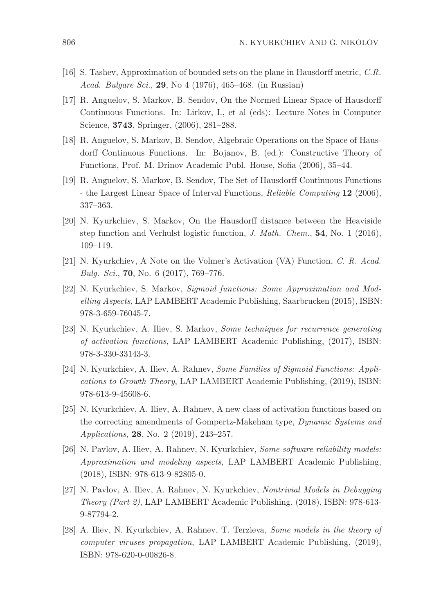- [16] S. Tashev, Approximation of bounded sets on the plane in Hausdorff metric, C.R. Acad. Bulgare Sci., 29, No 4 (1976), 465–468. (in Russian)
- [17] R. Anguelov, S. Markov, B. Sendov, On the Normed Linear Space of Hausdorff Continuous Functions. In: Lirkov, I., et al (eds): Lecture Notes in Computer Science, 3743, Springer, (2006), 281–288.
- [18] R. Anguelov, S. Markov, B. Sendov, Algebraic Operations on the Space of Hausdorff Continuous Functions. In: Bojanov, B. (ed.): Constructive Theory of Functions, Prof. M. Drinov Academic Publ. House, Sofia (2006), 35–44.
- [19] R. Anguelov, S. Markov, B. Sendov, The Set of Hausdorff Continuous Functions - the Largest Linear Space of Interval Functions, Reliable Computing 12 (2006), 337–363.
- [20] N. Kyurkchiev, S. Markov, On the Hausdorff distance between the Heaviside step function and Verhulst logistic function, J. Math. Chem.,  $54$ , No. 1 (2016), 109–119.
- [21] N. Kyurkchiev, A Note on the Volmer's Activation (VA) Function, C. R. Acad. Bulg. Sci., 70, No. 6 (2017), 769–776.
- [22] N. Kyurkchiev, S. Markov, Sigmoid functions: Some Approximation and Modelling Aspects, LAP LAMBERT Academic Publishing, Saarbrucken (2015), ISBN: 978-3-659-76045-7.
- [23] N. Kyurkchiev, A. Iliev, S. Markov, Some techniques for recurrence generating of activation functions, LAP LAMBERT Academic Publishing, (2017), ISBN: 978-3-330-33143-3.
- [24] N. Kyurkchiev, A. Iliev, A. Rahnev, Some Families of Sigmoid Functions: Applications to Growth Theory, LAP LAMBERT Academic Publishing, (2019), ISBN: 978-613-9-45608-6.
- [25] N. Kyurkchiev, A. Iliev, A. Rahnev, A new class of activation functions based on the correcting amendments of Gompertz-Makeham type, Dynamic Systems and Applications, 28, No. 2 (2019), 243–257.
- [26] N. Pavlov, A. Iliev, A. Rahnev, N. Kyurkchiev, Some software reliability models: Approximation and modeling aspects, LAP LAMBERT Academic Publishing, (2018), ISBN: 978-613-9-82805-0.
- [27] N. Pavlov, A. Iliev, A. Rahnev, N. Kyurkchiev, Nontrivial Models in Debugging Theory (Part 2), LAP LAMBERT Academic Publishing, (2018), ISBN: 978-613- 9-87794-2.
- [28] A. Iliev, N. Kyurkchiev, A. Rahnev, T. Terzieva, Some models in the theory of computer viruses propagation, LAP LAMBERT Academic Publishing, (2019), ISBN: 978-620-0-00826-8.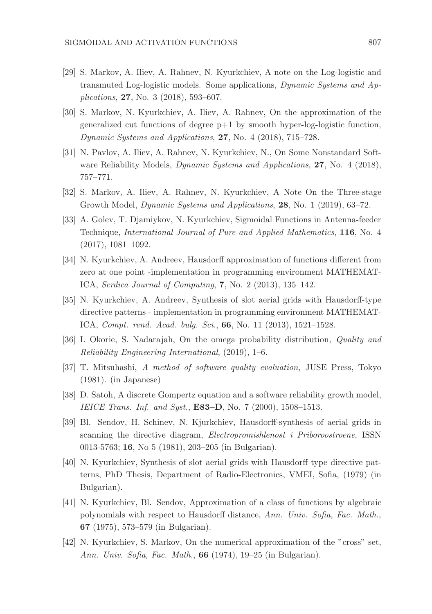- [29] S. Markov, A. Iliev, A. Rahnev, N. Kyurkchiev, A note on the Log-logistic and transmuted Log-logistic models. Some applications, Dynamic Systems and Applications, 27, No. 3 (2018), 593–607.
- [30] S. Markov, N. Kyurkchiev, A. Iliev, A. Rahnev, On the approximation of the generalized cut functions of degree  $p+1$  by smooth hyper-log-logistic function, Dynamic Systems and Applications, 27, No. 4 (2018), 715–728.
- [31] N. Pavlov, A. Iliev, A. Rahnev, N. Kyurkchiev, N., On Some Nonstandard Software Reliability Models, *Dynamic Systems and Applications*, **27**, No. 4 (2018), 757–771.
- [32] S. Markov, A. Iliev, A. Rahnev, N. Kyurkchiev, A Note On the Three-stage Growth Model, Dynamic Systems and Applications, 28, No. 1 (2019), 63–72.
- [33] A. Golev, T. Djamiykov, N. Kyurkchiev, Sigmoidal Functions in Antenna-feeder Technique, International Journal of Pure and Applied Mathematics, 116, No. 4 (2017), 1081–1092.
- [34] N. Kyurkchiev, A. Andreev, Hausdorff approximation of functions different from zero at one point -implementation in programming environment MATHEMAT-ICA, Serdica Journal of Computing, 7, No. 2 (2013), 135–142.
- [35] N. Kyurkchiev, A. Andreev, Synthesis of slot aerial grids with Hausdorff-type directive patterns - implementation in programming environment MATHEMAT-ICA, Compt. rend. Acad. bulg. Sci., 66, No. 11 (2013), 1521–1528.
- [36] I. Okorie, S. Nadarajah, On the omega probability distribution, Quality and Reliability Engineering International, (2019), 1–6.
- [37] T. Mitsuhashi, A method of software quality evaluation, JUSE Press, Tokyo (1981). (in Japanese)
- [38] D. Satoh, A discrete Gompertz equation and a software reliability growth model, IEICE Trans. Inf. and Syst., E83-D, No. 7 (2000), 1508-1513.
- [39] Bl. Sendov, H. Schinev, N. Kjurkchiev, Hausdorff-synthesis of aerial grids in scanning the directive diagram, Electropromishlenost i Priboroostroene, ISSN 0013-5763; 16, No 5 (1981), 203–205 (in Bulgarian).
- [40] N. Kyurkchiev, Synthesis of slot aerial grids with Hausdorff type directive patterns, PhD Thesis, Department of Radio-Electronics, VMEI, Sofia, (1979) (in Bulgarian).
- [41] N. Kyurkchiev, Bl. Sendov, Approximation of a class of functions by algebraic polynomials with respect to Hausdorff distance, Ann. Univ. Sofia, Fac. Math., 67 (1975), 573–579 (in Bulgarian).
- [42] N. Kyurkchiev, S. Markov, On the numerical approximation of the "cross" set, Ann. Univ. Sofia, Fac. Math., 66 (1974), 19–25 (in Bulgarian).